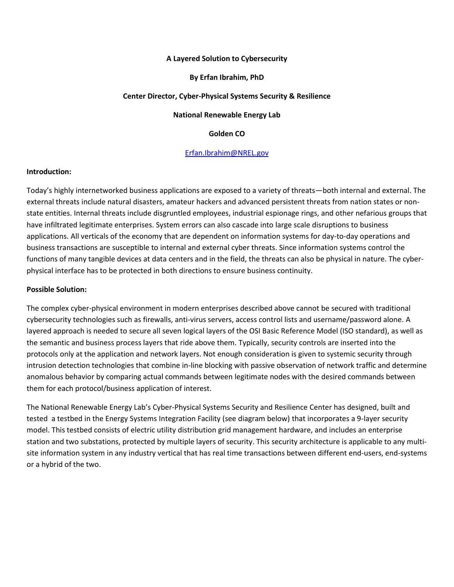#### **A Layered Solution to Cybersecurity**

#### **By Erfan Ibrahim, PhD**

#### **Center Director, Cyber-Physical Systems Security & Resilience**

**National Renewable Energy Lab**

### **Golden CO**

### [Erfan.Ibrahim@NREL.gov](mailto:Erfan.Ibrahim@NREL.gov)

#### **Introduction:**

Today's highly internetworked business applications are exposed to a variety of threats—both internal and external. The external threats include natural disasters, amateur hackers and advanced persistent threats from nation states or nonstate entities. Internal threats include disgruntled employees, industrial espionage rings, and other nefarious groups that have infiltrated legitimate enterprises. System errors can also cascade into large scale disruptions to business applications. All verticals of the economy that are dependent on information systems for day-to-day operations and business transactions are susceptible to internal and external cyber threats. Since information systems control the functions of many tangible devices at data centers and in the field, the threats can also be physical in nature. The cyberphysical interface has to be protected in both directions to ensure business continuity.

#### **Possible Solution:**

The complex cyber-physical environment in modern enterprises described above cannot be secured with traditional cybersecurity technologies such as firewalls, anti-virus servers, access control lists and username/password alone. A layered approach is needed to secure all seven logical layers of the OSI Basic Reference Model (ISO standard), as well as the semantic and business process layers that ride above them. Typically, security controls are inserted into the protocols only at the application and network layers. Not enough consideration is given to systemic security through intrusion detection technologies that combine in-line blocking with passive observation of network traffic and determine anomalous behavior by comparing actual commands between legitimate nodes with the desired commands between them for each protocol/business application of interest.

The National Renewable Energy Lab's Cyber-Physical Systems Security and Resilience Center has designed, built and tested a testbed in the Energy Systems Integration Facility (see diagram below) that incorporates a 9-layer security model. This testbed consists of electric utility distribution grid management hardware, and includes an enterprise station and two substations, protected by multiple layers of security. This security architecture is applicable to any multisite information system in any industry vertical that has real time transactions between different end-users, end-systems or a hybrid of the two.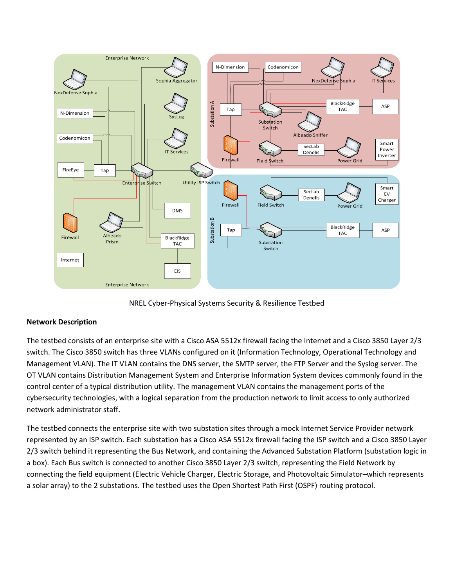

NREL Cyber-Physical Systems Security & Resilience Testbed

# **Network Description**

The testbed consists of an enterprise site with a Cisco ASA 5512x firewall facing the Internet and a Cisco 3850 Layer 2/3 switch. The Cisco 3850 switch has three VLANs configured on it (Information Technology, Operational Technology and Management VLAN). The IT VLAN contains the DNS server, the SMTP server, the FTP Server and the Syslog server. The OT VLAN contains Distribution Management System and Enterprise Information System devices commonly found in the control center of a typical distribution utility. The management VLAN contains the management ports of the cybersecurity technologies, with a logical separation from the production network to limit access to only authorized network administrator staff.

The testbed connects the enterprise site with two substation sites through a mock Internet Service Provider network represented by an ISP switch. Each substation has a Cisco ASA 5512x firewall facing the ISP switch and a Cisco 3850 Layer 2/3 switch behind it representing the Bus Network, and containing the Advanced Substation Platform (substation logic in a box). Each Bus switch is connected to another Cisco 3850 Layer 2/3 switch, representing the Field Network by connecting the field equipment (Electric Vehicle Charger, Electric Storage, and Photovoltaic Simulator–which represents a solar array) to the 2 substations. The testbed uses the Open Shortest Path First (OSPF) routing protocol.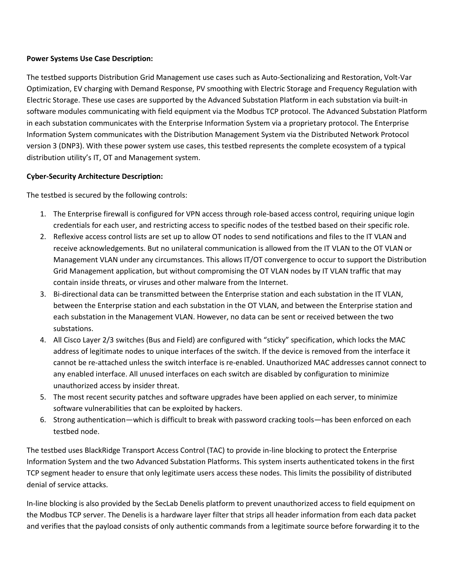## **Power Systems Use Case Description:**

The testbed supports Distribution Grid Management use cases such as Auto-Sectionalizing and Restoration, Volt-Var Optimization, EV charging with Demand Response, PV smoothing with Electric Storage and Frequency Regulation with Electric Storage. These use cases are supported by the Advanced Substation Platform in each substation via built-in software modules communicating with field equipment via the Modbus TCP protocol. The Advanced Substation Platform in each substation communicates with the Enterprise Information System via a proprietary protocol. The Enterprise Information System communicates with the Distribution Management System via the Distributed Network Protocol version 3 (DNP3). With these power system use cases, this testbed represents the complete ecosystem of a typical distribution utility's IT, OT and Management system.

## **Cyber-Security Architecture Description:**

The testbed is secured by the following controls:

- 1. The Enterprise firewall is configured for VPN access through role-based access control, requiring unique login credentials for each user, and restricting access to specific nodes of the testbed based on their specific role.
- 2. Reflexive access control lists are set up to allow OT nodes to send notifications and files to the IT VLAN and receive acknowledgements. But no unilateral communication is allowed from the IT VLAN to the OT VLAN or Management VLAN under any circumstances. This allows IT/OT convergence to occur to support the Distribution Grid Management application, but without compromising the OT VLAN nodes by IT VLAN traffic that may contain inside threats, or viruses and other malware from the Internet.
- 3. Bi-directional data can be transmitted between the Enterprise station and each substation in the IT VLAN, between the Enterprise station and each substation in the OT VLAN, and between the Enterprise station and each substation in the Management VLAN. However, no data can be sent or received between the two substations.
- 4. All Cisco Layer 2/3 switches (Bus and Field) are configured with "sticky" specification, which locks the MAC address of legitimate nodes to unique interfaces of the switch. If the device is removed from the interface it cannot be re-attached unless the switch interface is re-enabled. Unauthorized MAC addresses cannot connect to any enabled interface. All unused interfaces on each switch are disabled by configuration to minimize unauthorized access by insider threat.
- 5. The most recent security patches and software upgrades have been applied on each server, to minimize software vulnerabilities that can be exploited by hackers.
- 6. Strong authentication—which is difficult to break with password cracking tools—has been enforced on each testbed node.

The testbed uses BlackRidge Transport Access Control (TAC) to provide in-line blocking to protect the Enterprise Information System and the two Advanced Substation Platforms. This system inserts authenticated tokens in the first TCP segment header to ensure that only legitimate users access these nodes. This limits the possibility of distributed denial of service attacks.

In-line blocking is also provided by the SecLab Denelis platform to prevent unauthorized access to field equipment on the Modbus TCP server. The Denelis is a hardware layer filter that strips all header information from each data packet and verifies that the payload consists of only authentic commands from a legitimate source before forwarding it to the